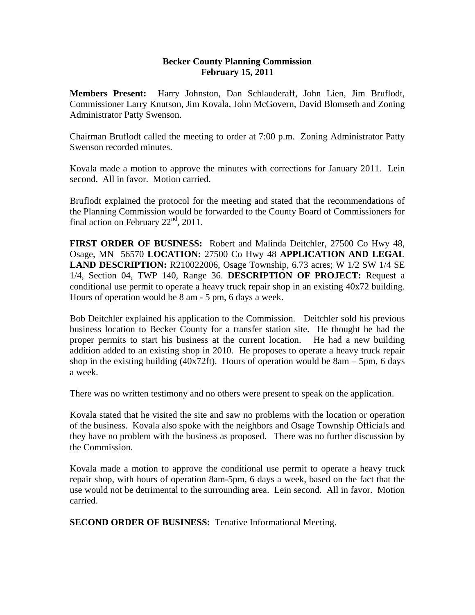## **Becker County Planning Commission February 15, 2011**

**Members Present:** Harry Johnston, Dan Schlauderaff, John Lien, Jim Bruflodt, Commissioner Larry Knutson, Jim Kovala, John McGovern, David Blomseth and Zoning Administrator Patty Swenson.

Chairman Bruflodt called the meeting to order at 7:00 p.m. Zoning Administrator Patty Swenson recorded minutes.

Kovala made a motion to approve the minutes with corrections for January 2011. Lein second. All in favor. Motion carried.

Bruflodt explained the protocol for the meeting and stated that the recommendations of the Planning Commission would be forwarded to the County Board of Commissioners for final action on February  $22<sup>nd</sup>$ , 2011.

**FIRST ORDER OF BUSINESS:** Robert and Malinda Deitchler, 27500 Co Hwy 48, Osage, MN 56570 **LOCATION:** 27500 Co Hwy 48 **APPLICATION AND LEGAL LAND DESCRIPTION:** R210022006, Osage Township, 6.73 acres; W 1/2 SW 1/4 SE 1/4, Section 04, TWP 140, Range 36. **DESCRIPTION OF PROJECT:** Request a conditional use permit to operate a heavy truck repair shop in an existing 40x72 building. Hours of operation would be 8 am - 5 pm, 6 days a week.

Bob Deitchler explained his application to the Commission. Deitchler sold his previous business location to Becker County for a transfer station site. He thought he had the proper permits to start his business at the current location. He had a new building addition added to an existing shop in 2010. He proposes to operate a heavy truck repair shop in the existing building  $(40x72ft)$ . Hours of operation would be 8am – 5pm, 6 days a week.

There was no written testimony and no others were present to speak on the application.

Kovala stated that he visited the site and saw no problems with the location or operation of the business. Kovala also spoke with the neighbors and Osage Township Officials and they have no problem with the business as proposed. There was no further discussion by the Commission.

Kovala made a motion to approve the conditional use permit to operate a heavy truck repair shop, with hours of operation 8am-5pm, 6 days a week, based on the fact that the use would not be detrimental to the surrounding area. Lein second. All in favor. Motion carried.

**SECOND ORDER OF BUSINESS:** Tenative Informational Meeting.